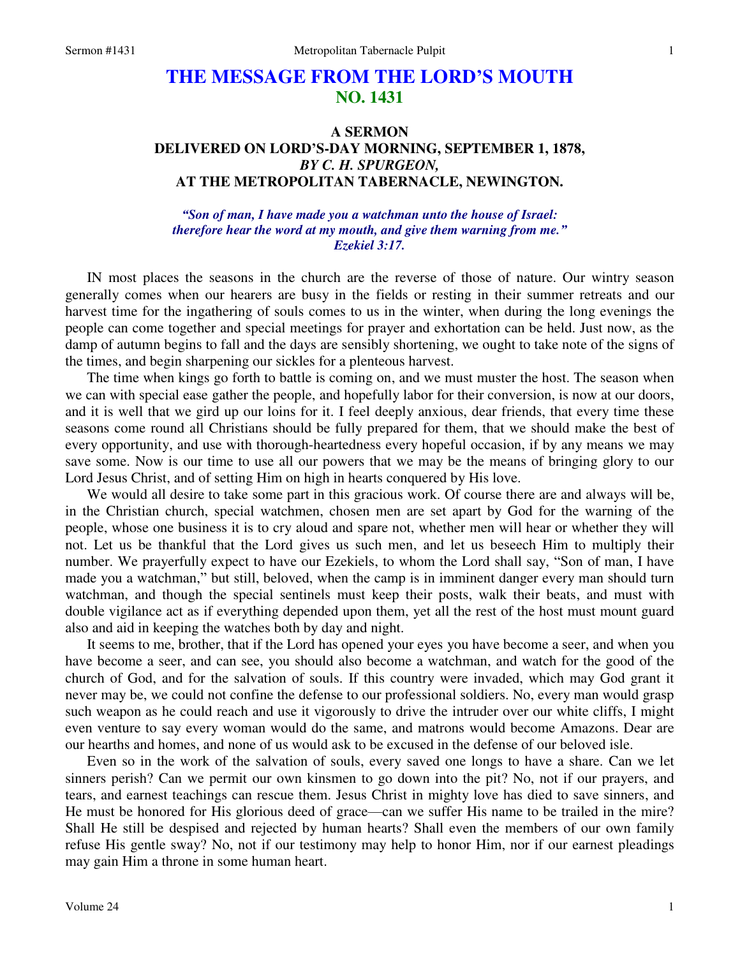# **THE MESSAGE FROM THE LORD'S MOUTH NO. 1431**

# **A SERMON DELIVERED ON LORD'S-DAY MORNING, SEPTEMBER 1, 1878,**  *BY C. H. SPURGEON,*  **AT THE METROPOLITAN TABERNACLE, NEWINGTON.**

#### *"Son of man, I have made you a watchman unto the house of Israel: therefore hear the word at my mouth, and give them warning from me." Ezekiel 3:17.*

IN most places the seasons in the church are the reverse of those of nature. Our wintry season generally comes when our hearers are busy in the fields or resting in their summer retreats and our harvest time for the ingathering of souls comes to us in the winter, when during the long evenings the people can come together and special meetings for prayer and exhortation can be held. Just now, as the damp of autumn begins to fall and the days are sensibly shortening, we ought to take note of the signs of the times, and begin sharpening our sickles for a plenteous harvest.

The time when kings go forth to battle is coming on, and we must muster the host. The season when we can with special ease gather the people, and hopefully labor for their conversion, is now at our doors, and it is well that we gird up our loins for it. I feel deeply anxious, dear friends, that every time these seasons come round all Christians should be fully prepared for them, that we should make the best of every opportunity, and use with thorough-heartedness every hopeful occasion, if by any means we may save some. Now is our time to use all our powers that we may be the means of bringing glory to our Lord Jesus Christ, and of setting Him on high in hearts conquered by His love.

We would all desire to take some part in this gracious work. Of course there are and always will be, in the Christian church, special watchmen, chosen men are set apart by God for the warning of the people, whose one business it is to cry aloud and spare not, whether men will hear or whether they will not. Let us be thankful that the Lord gives us such men, and let us beseech Him to multiply their number. We prayerfully expect to have our Ezekiels, to whom the Lord shall say, "Son of man, I have made you a watchman," but still, beloved, when the camp is in imminent danger every man should turn watchman, and though the special sentinels must keep their posts, walk their beats, and must with double vigilance act as if everything depended upon them, yet all the rest of the host must mount guard also and aid in keeping the watches both by day and night.

It seems to me, brother, that if the Lord has opened your eyes you have become a seer, and when you have become a seer, and can see, you should also become a watchman, and watch for the good of the church of God, and for the salvation of souls. If this country were invaded, which may God grant it never may be, we could not confine the defense to our professional soldiers. No, every man would grasp such weapon as he could reach and use it vigorously to drive the intruder over our white cliffs, I might even venture to say every woman would do the same, and matrons would become Amazons. Dear are our hearths and homes, and none of us would ask to be excused in the defense of our beloved isle.

Even so in the work of the salvation of souls, every saved one longs to have a share. Can we let sinners perish? Can we permit our own kinsmen to go down into the pit? No, not if our prayers, and tears, and earnest teachings can rescue them. Jesus Christ in mighty love has died to save sinners, and He must be honored for His glorious deed of grace—can we suffer His name to be trailed in the mire? Shall He still be despised and rejected by human hearts? Shall even the members of our own family refuse His gentle sway? No, not if our testimony may help to honor Him, nor if our earnest pleadings may gain Him a throne in some human heart.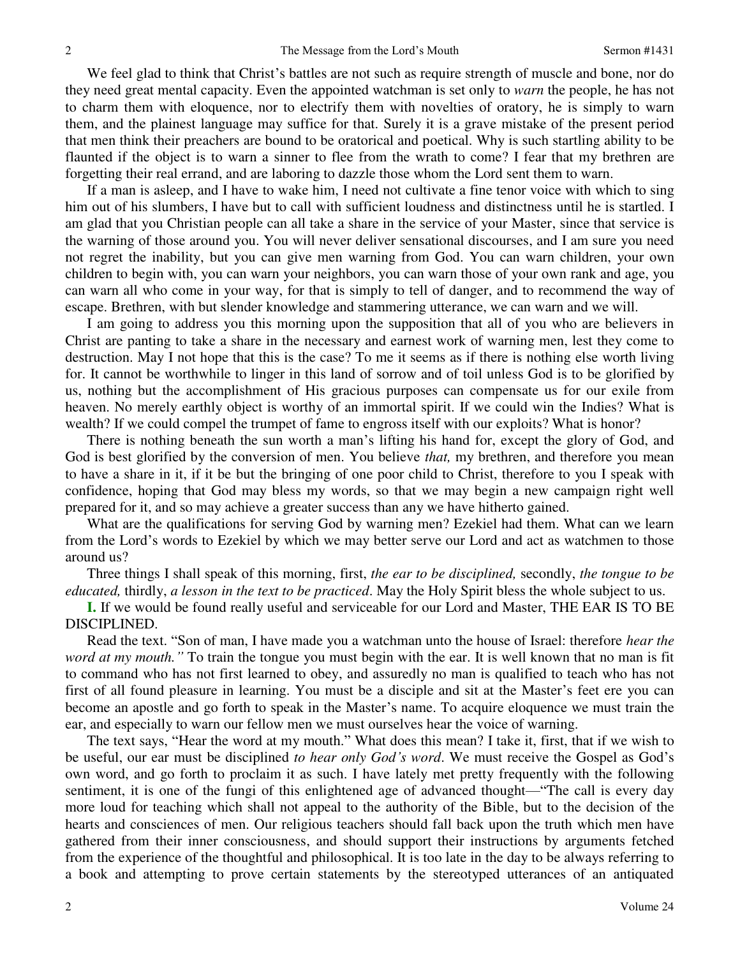We feel glad to think that Christ's battles are not such as require strength of muscle and bone, nor do they need great mental capacity. Even the appointed watchman is set only to *warn* the people, he has not to charm them with eloquence, nor to electrify them with novelties of oratory, he is simply to warn them, and the plainest language may suffice for that. Surely it is a grave mistake of the present period that men think their preachers are bound to be oratorical and poetical. Why is such startling ability to be flaunted if the object is to warn a sinner to flee from the wrath to come? I fear that my brethren are forgetting their real errand, and are laboring to dazzle those whom the Lord sent them to warn.

If a man is asleep, and I have to wake him, I need not cultivate a fine tenor voice with which to sing him out of his slumbers, I have but to call with sufficient loudness and distinctness until he is startled. I am glad that you Christian people can all take a share in the service of your Master, since that service is the warning of those around you. You will never deliver sensational discourses, and I am sure you need not regret the inability, but you can give men warning from God. You can warn children, your own children to begin with, you can warn your neighbors, you can warn those of your own rank and age, you can warn all who come in your way, for that is simply to tell of danger, and to recommend the way of escape. Brethren, with but slender knowledge and stammering utterance, we can warn and we will.

I am going to address you this morning upon the supposition that all of you who are believers in Christ are panting to take a share in the necessary and earnest work of warning men, lest they come to destruction. May I not hope that this is the case? To me it seems as if there is nothing else worth living for. It cannot be worthwhile to linger in this land of sorrow and of toil unless God is to be glorified by us, nothing but the accomplishment of His gracious purposes can compensate us for our exile from heaven. No merely earthly object is worthy of an immortal spirit. If we could win the Indies? What is wealth? If we could compel the trumpet of fame to engross itself with our exploits? What is honor?

There is nothing beneath the sun worth a man's lifting his hand for, except the glory of God, and God is best glorified by the conversion of men. You believe *that,* my brethren, and therefore you mean to have a share in it, if it be but the bringing of one poor child to Christ, therefore to you I speak with confidence, hoping that God may bless my words, so that we may begin a new campaign right well prepared for it, and so may achieve a greater success than any we have hitherto gained.

What are the qualifications for serving God by warning men? Ezekiel had them. What can we learn from the Lord's words to Ezekiel by which we may better serve our Lord and act as watchmen to those around us?

Three things I shall speak of this morning, first, *the ear to be disciplined,* secondly, *the tongue to be educated,* thirdly, *a lesson in the text to be practiced*. May the Holy Spirit bless the whole subject to us.

**I.** If we would be found really useful and serviceable for our Lord and Master, THE EAR IS TO BE DISCIPLINED.

Read the text. "Son of man, I have made you a watchman unto the house of Israel: therefore *hear the word at my mouth.* " To train the tongue you must begin with the ear. It is well known that no man is fit to command who has not first learned to obey, and assuredly no man is qualified to teach who has not first of all found pleasure in learning. You must be a disciple and sit at the Master's feet ere you can become an apostle and go forth to speak in the Master's name. To acquire eloquence we must train the ear, and especially to warn our fellow men we must ourselves hear the voice of warning.

The text says, "Hear the word at my mouth." What does this mean? I take it, first, that if we wish to be useful, our ear must be disciplined *to hear only God's word*. We must receive the Gospel as God's own word, and go forth to proclaim it as such. I have lately met pretty frequently with the following sentiment, it is one of the fungi of this enlightened age of advanced thought—"The call is every day more loud for teaching which shall not appeal to the authority of the Bible, but to the decision of the hearts and consciences of men. Our religious teachers should fall back upon the truth which men have gathered from their inner consciousness, and should support their instructions by arguments fetched from the experience of the thoughtful and philosophical. It is too late in the day to be always referring to a book and attempting to prove certain statements by the stereotyped utterances of an antiquated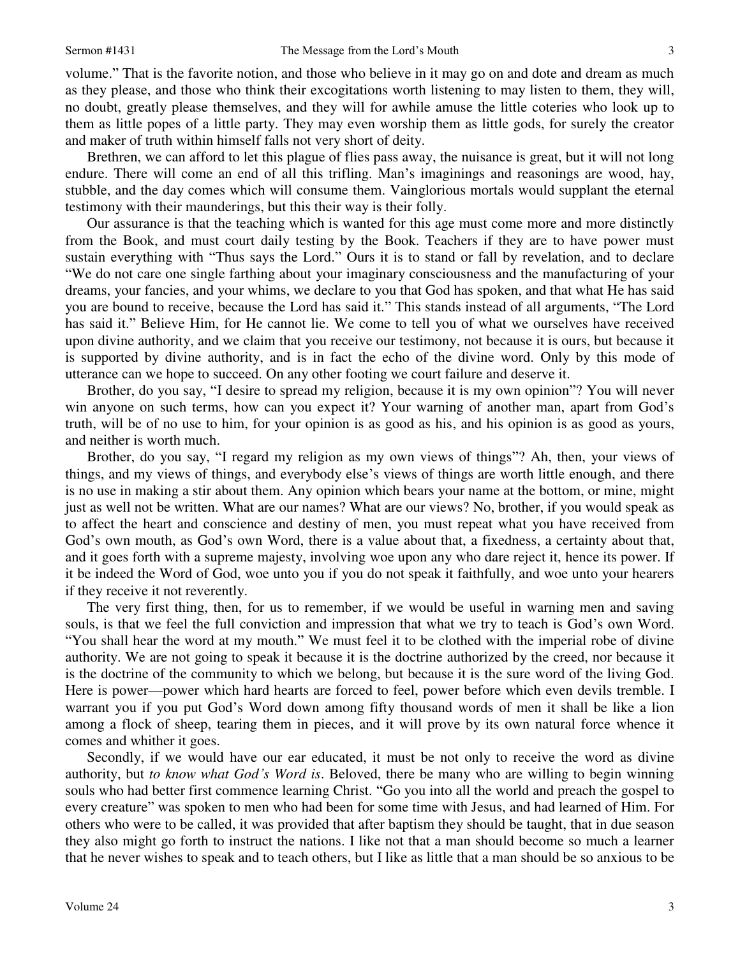volume." That is the favorite notion, and those who believe in it may go on and dote and dream as much as they please, and those who think their excogitations worth listening to may listen to them, they will, no doubt, greatly please themselves, and they will for awhile amuse the little coteries who look up to them as little popes of a little party. They may even worship them as little gods, for surely the creator and maker of truth within himself falls not very short of deity.

Brethren, we can afford to let this plague of flies pass away, the nuisance is great, but it will not long endure. There will come an end of all this trifling. Man's imaginings and reasonings are wood, hay, stubble, and the day comes which will consume them. Vainglorious mortals would supplant the eternal testimony with their maunderings, but this their way is their folly.

3 hl, or gu, dl y tterd dd ttf r s ,, ffetts n t, ff s gullettl. I n it e goorn r e 3 Our assurance is that the teaching which is wanted for this age must come more and more distinctly from the Book, and must court daily testing by the Book. Teachers if they are to have power must sustain everything with "Thus says the Lord." Ours it is to stand or fall by revelation, and to declare "We do not care one single farthing about your imaginary consciousness and the manufacturing of your dreams, your fancies, and your whims, we declare to you that God has spoken, and that what He has said you are bound to receive, because the Lord has said it." This stands instead of all arguments, "The Lord has said it." Believe Him, for He cannot lie. We come to tell you of what we ourselves have received upon divine authority, and we claim that you receive our testimony, not because it is ours, but because it is supported by divine authority, and is in fact the echo of the divine word. Only by this mode of utterance can we hope to succeed. On any other footing we court failure and deserve it.

Brother, do you say, "I desire to spread my religion, because it is my own opinion"? You will never win anyone on such terms, how can you expect it? Your warning of another man, apart from God's truth, will be of no use to him, for your opinion is as good as his, and his opinion is as good as yours, and neither is worth much.

Brother, do you say, "I regard my religion as my own views of things"? Ah, then, your views of things, and my views of things, and everybody else's views of things are worth little enough, and there is no use in making a stir about them. Any opinion which bears your name at the bottom, or mine, might just as well not be written. What are our names? What are our views? No, brother, if you would speak as to affect the heart and conscience and destiny of men, you must repeat what you have received from God's own mouth, as God's own Word, there is a value about that, a fixedness, a certainty about that, and it goes forth with a supreme majesty, involving woe upon any who dare reject it, hence its power. If it be indeed the Word of God, woe unto you if you do not speak it faithfully, and woe unto your hearers if they receive it not reverently.

The very first thing, then, for us to remember, if we would be useful in warning men and saving souls, is that we feel the full conviction and impression that what we try to teach is God's own Word. "You shall hear the word at my mouth." We must feel it to be clothed with the imperial robe of divine authority. We are not going to speak it because it is the doctrine authorized by the creed, nor because it is the doctrine of the community to which we belong, but because it is the sure word of the living God. Here is power—power which hard hearts are forced to feel, power before which even devils tremble. I warrant you if you put God's Word down among fifty thousand words of men it shall be like a lion among a flock of sheep, tearing them in pieces, and it will prove by its own natural force whence it comes and whither it goes.

Secondly, if we would have our ear educated, it must be not only to receive the word as divine authority, but *to know what God's Word is*. Beloved, there be many who are willing to begin winning souls who had better first commence learning Christ. "Go you into all the world and preach the gospel to every creature" was spoken to men who had been for some time with Jesus, and had learned of Him. For others who were to be called, it was provided that after baptism they should be taught, that in due season they also might go forth to instruct the nations. I like not that a man should become so much a learner that he never wishes to speak and to teach others, but I like as little that a man should be so anxious to be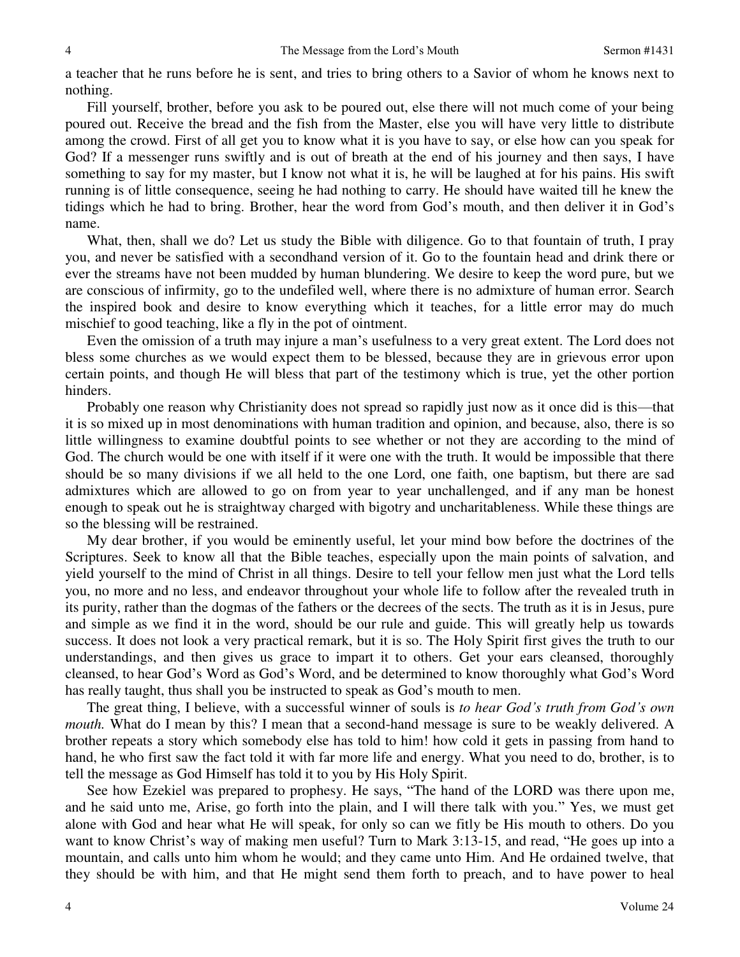a teacher that he runs before he is sent, and tries to bring others to a Savior of whom he knows next to nothing.

Fill yourself, brother, before you ask to be poured out, else there will not much come of your being poured out. Receive the bread and the fish from the Master, else you will have very little to distribute among the crowd. First of all get you to know what it is you have to say, or else how can you speak for God? If a messenger runs swiftly and is out of breath at the end of his journey and then says, I have something to say for my master, but I know not what it is, he will be laughed at for his pains. His swift running is of little consequence, seeing he had nothing to carry. He should have waited till he knew the tidings which he had to bring. Brother, hear the word from God's mouth, and then deliver it in God's name.

What, then, shall we do? Let us study the Bible with diligence. Go to that fountain of truth, I pray you, and never be satisfied with a secondhand version of it. Go to the fountain head and drink there or ever the streams have not been mudded by human blundering. We desire to keep the word pure, but we are conscious of infirmity, go to the undefiled well, where there is no admixture of human error. Search the inspired book and desire to know everything which it teaches, for a little error may do much mischief to good teaching, like a fly in the pot of ointment.

Even the omission of a truth may injure a man's usefulness to a very great extent. The Lord does not bless some churches as we would expect them to be blessed, because they are in grievous error upon certain points, and though He will bless that part of the testimony which is true, yet the other portion hinders.

Probably one reason why Christianity does not spread so rapidly just now as it once did is this—that it is so mixed up in most denominations with human tradition and opinion, and because, also, there is so little willingness to examine doubtful points to see whether or not they are according to the mind of God. The church would be one with itself if it were one with the truth. It would be impossible that there should be so many divisions if we all held to the one Lord, one faith, one baptism, but there are sad admixtures which are allowed to go on from year to year unchallenged, and if any man be honest enough to speak out he is straightway charged with bigotry and uncharitableness. While these things are so the blessing will be restrained.

My dear brother, if you would be eminently useful, let your mind bow before the doctrines of the Scriptures. Seek to know all that the Bible teaches, especially upon the main points of salvation, and yield yourself to the mind of Christ in all things. Desire to tell your fellow men just what the Lord tells you, no more and no less, and endeavor throughout your whole life to follow after the revealed truth in its purity, rather than the dogmas of the fathers or the decrees of the sects. The truth as it is in Jesus, pure and simple as we find it in the word, should be our rule and guide. This will greatly help us towards success. It does not look a very practical remark, but it is so. The Holy Spirit first gives the truth to our understandings, and then gives us grace to impart it to others. Get your ears cleansed, thoroughly cleansed, to hear God's Word as God's Word, and be determined to know thoroughly what God's Word has really taught, thus shall you be instructed to speak as God's mouth to men.

The great thing, I believe, with a successful winner of souls is *to hear God's truth from God's own mouth*. What do I mean by this? I mean that a second-hand message is sure to be weakly delivered. A brother repeats a story which somebody else has told to him! how cold it gets in passing from hand to hand, he who first saw the fact told it with far more life and energy. What you need to do, brother, is to tell the message as God Himself has told it to you by His Holy Spirit.

See how Ezekiel was prepared to prophesy. He says, "The hand of the LORD was there upon me, and he said unto me, Arise, go forth into the plain, and I will there talk with you." Yes, we must get alone with God and hear what He will speak, for only so can we fitly be His mouth to others. Do you want to know Christ's way of making men useful? Turn to Mark 3:13-15, and read, "He goes up into a mountain, and calls unto him whom he would; and they came unto Him. And He ordained twelve, that they should be with him, and that He might send them forth to preach, and to have power to heal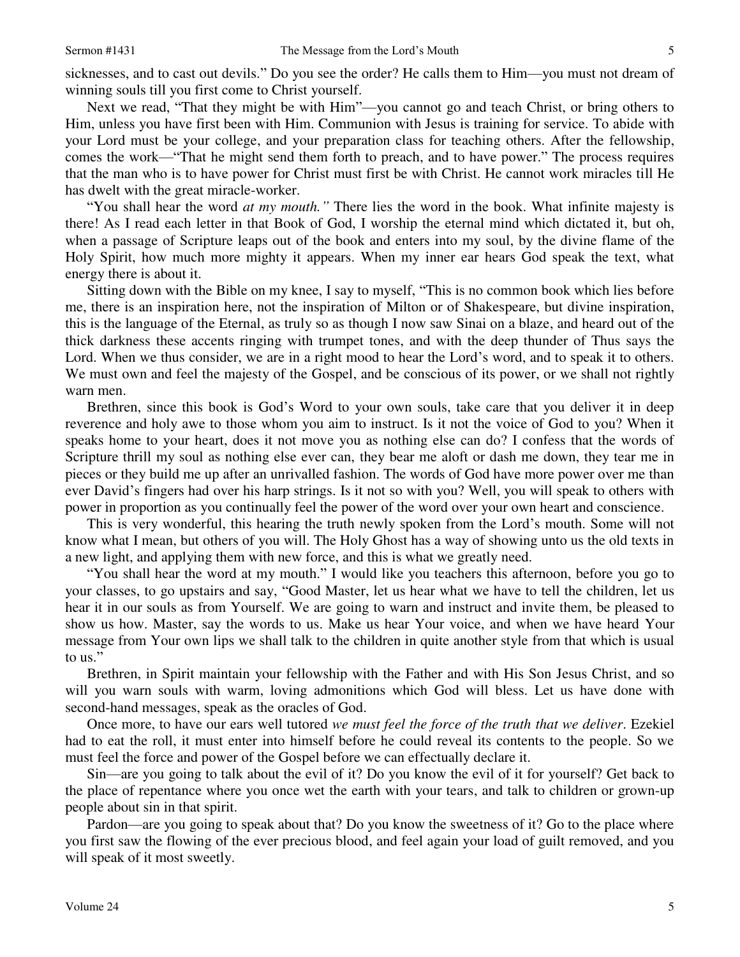sicknesses, and to cast out devils." Do you see the order? He calls them to Him—you must not dream of winning souls till you first come to Christ yourself.

Next we read, "That they might be with Him"—you cannot go and teach Christ, or bring others to Him, unless you have first been with Him. Communion with Jesus is training for service. To abide with your Lord must be your college, and your preparation class for teaching others. After the fellowship, comes the work—"That he might send them forth to preach, and to have power." The process requires that the man who is to have power for Christ must first be with Christ. He cannot work miracles till He has dwelt with the great miracle-worker.

"You shall hear the word *at my mouth."* There lies the word in the book. What infinite majesty is there! As I read each letter in that Book of God, I worship the eternal mind which dictated it, but oh, when a passage of Scripture leaps out of the book and enters into my soul, by the divine flame of the Holy Spirit, how much more mighty it appears. When my inner ear hears God speak the text, what energy there is about it.

5 f oh, se s i, e e ... y p it f n n h o s o o r d e l o p e u 5 Sitting down with the Bible on my knee, I say to myself, "This is no common book which lies before me, there is an inspiration here, not the inspiration of Milton or of Shakespeare, but divine inspiration, this is the language of the Eternal, as truly so as though I now saw Sinai on a blaze, and heard out of the thick darkness these accents ringing with trumpet tones, and with the deep thunder of Thus says the Lord. When we thus consider, we are in a right mood to hear the Lord's word, and to speak it to others. We must own and feel the majesty of the Gospel, and be conscious of its power, or we shall not rightly warn men.

Brethren, since this book is God's Word to your own souls, take care that you deliver it in deep reverence and holy awe to those whom you aim to instruct. Is it not the voice of God to you? When it speaks home to your heart, does it not move you as nothing else can do? I confess that the words of Scripture thrill my soul as nothing else ever can, they bear me aloft or dash me down, they tear me in pieces or they build me up after an unrivalled fashion. The words of God have more power over me than ever David's fingers had over his harp strings. Is it not so with you? Well, you will speak to others with power in proportion as you continually feel the power of the word over your own heart and conscience.

This is very wonderful, this hearing the truth newly spoken from the Lord's mouth. Some will not know what I mean, but others of you will. The Holy Ghost has a way of showing unto us the old texts in a new light, and applying them with new force, and this is what we greatly need.

"You shall hear the word at my mouth." I would like you teachers this afternoon, before you go to your classes, to go upstairs and say, "Good Master, let us hear what we have to tell the children, let us hear it in our souls as from Yourself. We are going to warn and instruct and invite them, be pleased to show us how. Master, say the words to us. Make us hear Your voice, and when we have heard Your message from Your own lips we shall talk to the children in quite another style from that which is usual to us."

Brethren, in Spirit maintain your fellowship with the Father and with His Son Jesus Christ, and so will you warn souls with warm, loving admonitions which God will bless. Let us have done with second-hand messages, speak as the oracles of God.

Once more, to have our ears well tutored *we must feel the force of the truth that we deliver*. Ezekiel had to eat the roll, it must enter into himself before he could reveal its contents to the people. So we must feel the force and power of the Gospel before we can effectually declare it.

Sin—are you going to talk about the evil of it? Do you know the evil of it for yourself? Get back to the place of repentance where you once wet the earth with your tears, and talk to children or grown-up people about sin in that spirit.

Pardon—are you going to speak about that? Do you know the sweetness of it? Go to the place where you first saw the flowing of the ever precious blood, and feel again your load of guilt removed, and you will speak of it most sweetly.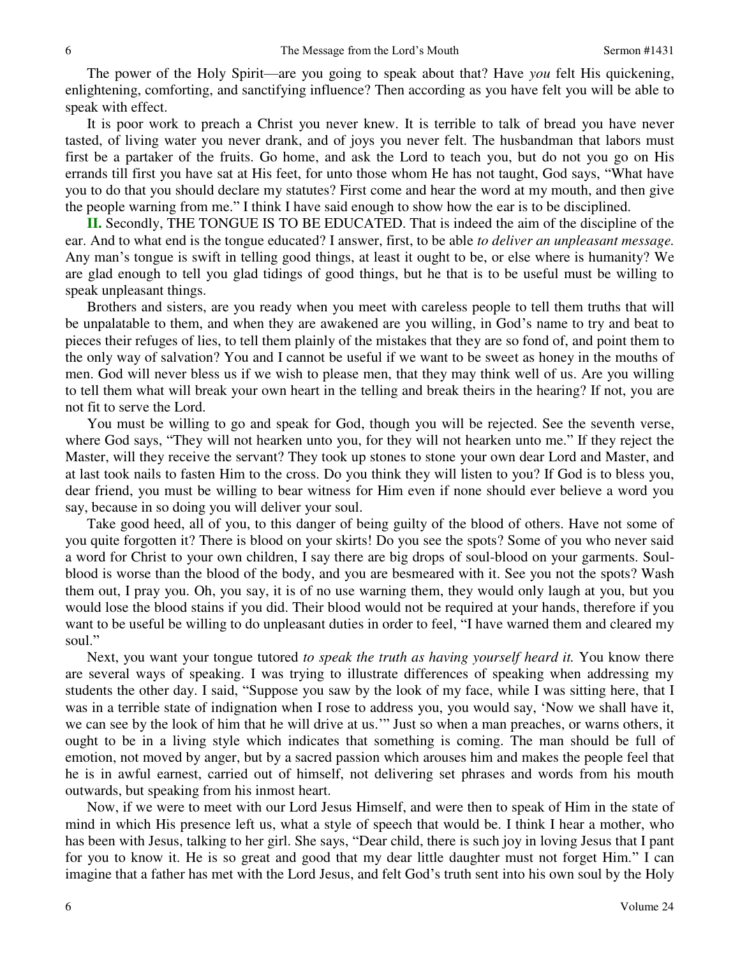The power of the Holy Spirit—are you going to speak about that? Have *you* felt His quickening, enlightening, comforting, and sanctifying influence? Then according as you have felt you will be able to speak with effect.

It is poor work to preach a Christ you never knew. It is terrible to talk of bread you have never tasted, of living water you never drank, and of joys you never felt. The husbandman that labors must first be a partaker of the fruits. Go home, and ask the Lord to teach you, but do not you go on His errands till first you have sat at His feet, for unto those whom He has not taught, God says, "What have you to do that you should declare my statutes? First come and hear the word at my mouth, and then give the people warning from me." I think I have said enough to show how the ear is to be disciplined.

**II.** Secondly, THE TONGUE IS TO BE EDUCATED. That is indeed the aim of the discipline of the ear. And to what end is the tongue educated? I answer, first, to be able *to deliver an unpleasant message.* Any man's tongue is swift in telling good things, at least it ought to be, or else where is humanity? We are glad enough to tell you glad tidings of good things, but he that is to be useful must be willing to speak unpleasant things.

Brothers and sisters, are you ready when you meet with careless people to tell them truths that will be unpalatable to them, and when they are awakened are you willing, in God's name to try and beat to pieces their refuges of lies, to tell them plainly of the mistakes that they are so fond of, and point them to the only way of salvation? You and I cannot be useful if we want to be sweet as honey in the mouths of men. God will never bless us if we wish to please men, that they may think well of us. Are you willing to tell them what will break your own heart in the telling and break theirs in the hearing? If not, you are not fit to serve the Lord.

You must be willing to go and speak for God, though you will be rejected. See the seventh verse, where God says, "They will not hearken unto you, for they will not hearken unto me." If they reject the Master, will they receive the servant? They took up stones to stone your own dear Lord and Master, and at last took nails to fasten Him to the cross. Do you think they will listen to you? If God is to bless you, dear friend, you must be willing to bear witness for Him even if none should ever believe a word you say, because in so doing you will deliver your soul.

Take good heed, all of you, to this danger of being guilty of the blood of others. Have not some of you quite forgotten it? There is blood on your skirts! Do you see the spots? Some of you who never said a word for Christ to your own children, I say there are big drops of soul-blood on your garments. Soulblood is worse than the blood of the body, and you are besmeared with it. See you not the spots? Wash them out, I pray you. Oh, you say, it is of no use warning them, they would only laugh at you, but you would lose the blood stains if you did. Their blood would not be required at your hands, therefore if you want to be useful be willing to do unpleasant duties in order to feel, "I have warned them and cleared my soul."

Next, you want your tongue tutored *to speak the truth as having yourself heard it.* You know there are several ways of speaking. I was trying to illustrate differences of speaking when addressing my students the other day. I said, "Suppose you saw by the look of my face, while I was sitting here, that I was in a terrible state of indignation when I rose to address you, you would say, 'Now we shall have it, we can see by the look of him that he will drive at us.'" Just so when a man preaches, or warns others, it ought to be in a living style which indicates that something is coming. The man should be full of emotion, not moved by anger, but by a sacred passion which arouses him and makes the people feel that he is in awful earnest, carried out of himself, not delivering set phrases and words from his mouth outwards, but speaking from his inmost heart.

Now, if we were to meet with our Lord Jesus Himself, and were then to speak of Him in the state of mind in which His presence left us, what a style of speech that would be. I think I hear a mother, who has been with Jesus, talking to her girl. She says, "Dear child, there is such joy in loving Jesus that I pant for you to know it. He is so great and good that my dear little daughter must not forget Him." I can imagine that a father has met with the Lord Jesus, and felt God's truth sent into his own soul by the Holy

6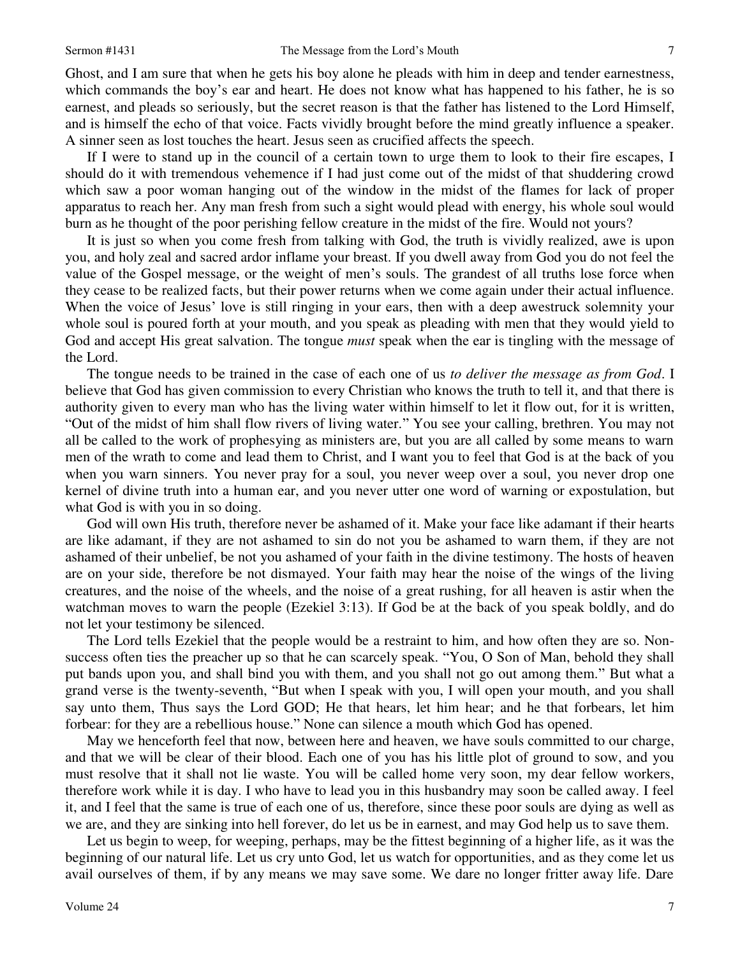Ghost, and I am sure that when he gets his boy alone he pleads with him in deep and tender earnestness, which commands the boy's ear and heart. He does not know what has happened to his father, he is so earnest, and pleads so seriously, but the secret reason is that the father has listened to the Lord Himself, and is himself the echo of that voice. Facts vividly brought before the mind greatly influence a speaker. A sinner seen as lost touches the heart. Jesus seen as crucified affects the speech.

If I were to stand up in the council of a certain town to urge them to look to their fire escapes, I should do it with tremendous vehemence if I had just come out of the midst of that shuddering crowd which saw a poor woman hanging out of the window in the midst of the flames for lack of proper apparatus to reach her. Any man fresh from such a sight would plead with energy, his whole soul would burn as he thought of the poor perishing fellow creature in the midst of the fire. Would not yours?

It is just so when you come fresh from talking with God, the truth is vividly realized, awe is upon you, and holy zeal and sacred ardor inflame your breast. If you dwell away from God you do not feel the value of the Gospel message, or the weight of men's souls. The grandest of all truths lose force when they cease to be realized facts, but their power returns when we come again under their actual influence. When the voice of Jesus' love is still ringing in your ears, then with a deep awestruck solemnity your whole soul is poured forth at your mouth, and you speak as pleading with men that they would yield to God and accept His great salvation. The tongue *must* speak when the ear is tingling with the message of the Lord.

7 , , , o f, r. I d r d = n , r o f = I s , , t n u e t = s t n g e o = |- [| a a ] n = , , u , , --] s = e = 7 The tongue needs to be trained in the case of each one of us *to deliver the message as from God*. I believe that God has given commission to every Christian who knows the truth to tell it, and that there is authority given to every man who has the living water within himself to let it flow out, for it is written, "Out of the midst of him shall flow rivers of living water." You see your calling, brethren. You may not all be called to the work of prophesying as ministers are, but you are all called by some means to warn men of the wrath to come and lead them to Christ, and I want you to feel that God is at the back of you when you warn sinners. You never pray for a soul, you never weep over a soul, you never drop one kernel of divine truth into a human ear, and you never utter one word of warning or expostulation, but what God is with you in so doing.

God will own His truth, therefore never be ashamed of it. Make your face like adamant if their hearts are like adamant, if they are not ashamed to sin do not you be ashamed to warn them, if they are not ashamed of their unbelief, be not you ashamed of your faith in the divine testimony. The hosts of heaven are on your side, therefore be not dismayed. Your faith may hear the noise of the wings of the living creatures, and the noise of the wheels, and the noise of a great rushing, for all heaven is astir when the watchman moves to warn the people (Ezekiel 3:13). If God be at the back of you speak boldly, and do not let your testimony be silenced.

The Lord tells Ezekiel that the people would be a restraint to him, and how often they are so. Nonsuccess often ties the preacher up so that he can scarcely speak. "You, O Son of Man, behold they shall put bands upon you, and shall bind you with them, and you shall not go out among them." But what a grand verse is the twenty-seventh, "But when I speak with you, I will open your mouth, and you shall say unto them, Thus says the Lord GOD; He that hears, let him hear; and he that forbears, let him forbear: for they are a rebellious house." None can silence a mouth which God has opened.

May we henceforth feel that now, between here and heaven, we have souls committed to our charge, and that we will be clear of their blood. Each one of you has his little plot of ground to sow, and you must resolve that it shall not lie waste. You will be called home very soon, my dear fellow workers, therefore work while it is day. I who have to lead you in this husbandry may soon be called away. I feel it, and I feel that the same is true of each one of us, therefore, since these poor souls are dying as well as we are, and they are sinking into hell forever, do let us be in earnest, and may God help us to save them.

Let us begin to weep, for weeping, perhaps, may be the fittest beginning of a higher life, as it was the beginning of our natural life. Let us cry unto God, let us watch for opportunities, and as they come let us avail ourselves of them, if by any means we may save some. We dare no longer fritter away life. Dare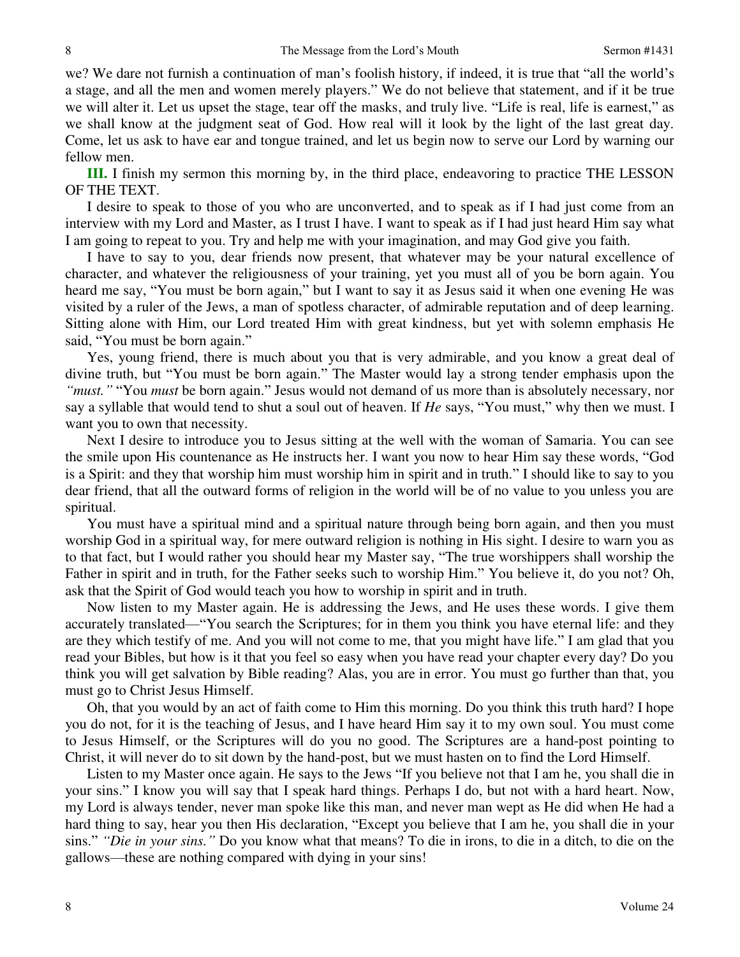we? We dare not furnish a continuation of man's foolish history, if indeed, it is true that "all the world's a stage, and all the men and women merely players." We do not believe that statement, and if it be true we will alter it. Let us upset the stage, tear off the masks, and truly live. "Life is real, life is earnest," as we shall know at the judgment seat of God. How real will it look by the light of the last great day. Come, let us ask to have ear and tongue trained, and let us begin now to serve our Lord by warning our fellow men.

**III.** I finish my sermon this morning by, in the third place, endeavoring to practice THE LESSON OF THE TEXT.

I desire to speak to those of you who are unconverted, and to speak as if I had just come from an interview with my Lord and Master, as I trust I have. I want to speak as if I had just heard Him say what I am going to repeat to you. Try and help me with your imagination, and may God give you faith.

I have to say to you, dear friends now present, that whatever may be your natural excellence of character, and whatever the religiousness of your training, yet you must all of you be born again. You heard me say, "You must be born again," but I want to say it as Jesus said it when one evening He was visited by a ruler of the Jews, a man of spotless character, of admirable reputation and of deep learning. Sitting alone with Him, our Lord treated Him with great kindness, but yet with solemn emphasis He said, "You must be born again."

Yes, young friend, there is much about you that is very admirable, and you know a great deal of divine truth, but "You must be born again." The Master would lay a strong tender emphasis upon the *"must."* "You *must* be born again." Jesus would not demand of us more than is absolutely necessary, nor say a syllable that would tend to shut a soul out of heaven. If *He* says, "You must," why then we must. I want you to own that necessity.

Next I desire to introduce you to Jesus sitting at the well with the woman of Samaria. You can see the smile upon His countenance as He instructs her. I want you now to hear Him say these words, "God is a Spirit: and they that worship him must worship him in spirit and in truth." I should like to say to you dear friend, that all the outward forms of religion in the world will be of no value to you unless you are spiritual.

You must have a spiritual mind and a spiritual nature through being born again, and then you must worship God in a spiritual way, for mere outward religion is nothing in His sight. I desire to warn you as to that fact, but I would rather you should hear my Master say, "The true worshippers shall worship the Father in spirit and in truth, for the Father seeks such to worship Him." You believe it, do you not? Oh, ask that the Spirit of God would teach you how to worship in spirit and in truth.

Now listen to my Master again. He is addressing the Jews, and He uses these words. I give them accurately translated—"You search the Scriptures; for in them you think you have eternal life: and they are they which testify of me. And you will not come to me, that you might have life." I am glad that you read your Bibles, but how is it that you feel so easy when you have read your chapter every day? Do you think you will get salvation by Bible reading? Alas, you are in error. You must go further than that, you must go to Christ Jesus Himself.

Oh, that you would by an act of faith come to Him this morning. Do you think this truth hard? I hope you do not, for it is the teaching of Jesus, and I have heard Him say it to my own soul. You must come to Jesus Himself, or the Scriptures will do you no good. The Scriptures are a hand-post pointing to Christ, it will never do to sit down by the hand-post, but we must hasten on to find the Lord Himself.

Listen to my Master once again. He says to the Jews "If you believe not that I am he, you shall die in your sins." I know you will say that I speak hard things. Perhaps I do, but not with a hard heart. Now, my Lord is always tender, never man spoke like this man, and never man wept as He did when He had a hard thing to say, hear you then His declaration, "Except you believe that I am he, you shall die in your sins." *"Die in your sins."* Do you know what that means? To die in irons, to die in a ditch, to die on the gallows—these are nothing compared with dying in your sins!